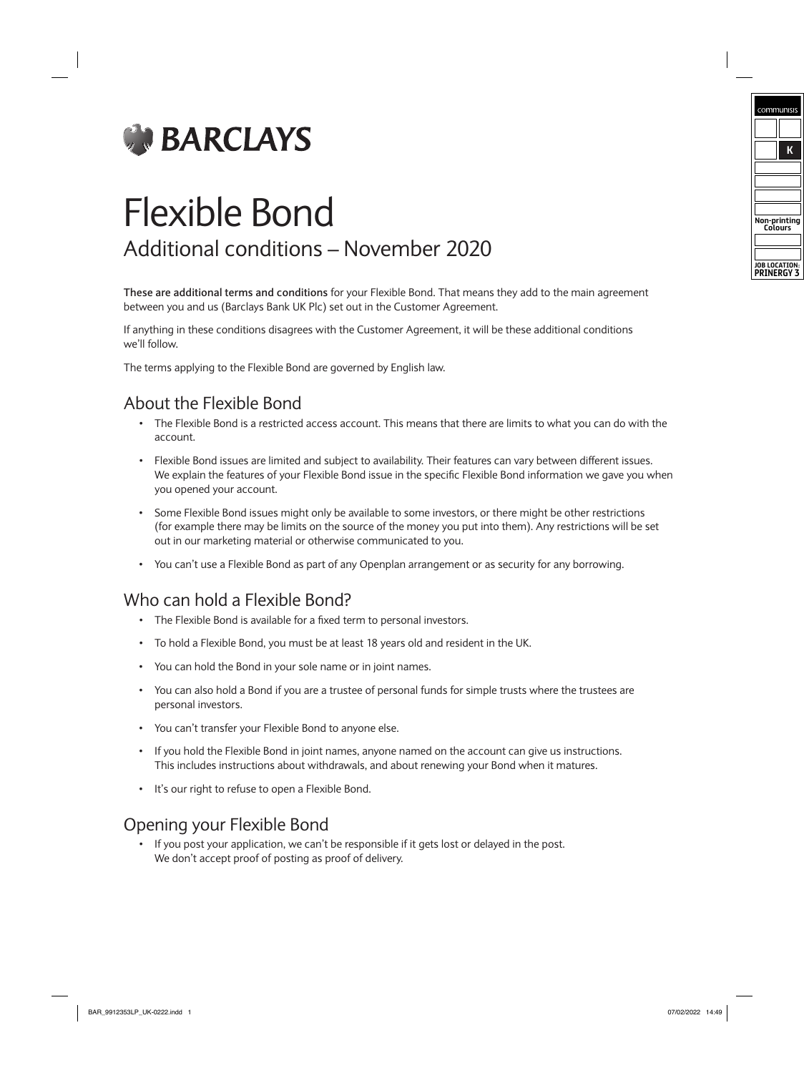

# Flexible Bond Additional conditions – November 2020

**These are additional terms and conditions** for your Flexible Bond. That means they add to the main agreement between you and us (Barclays Bank UK Plc) set out in the Customer Agreement.

If anything in these conditions disagrees with the Customer Agreement, it will be these additional conditions we'll follow.

The terms applying to the Flexible Bond are governed by English law.

# About the Flexible Bond

- The Flexible Bond is a restricted access account. This means that there are limits to what you can do with the account.
- Flexible Bond issues are limited and subject to availability. Their features can vary between different issues. We explain the features of your Flexible Bond issue in the specific Flexible Bond information we gave you when you opened your account.
- Some Flexible Bond issues might only be available to some investors, or there might be other restrictions (for example there may be limits on the source of the money you put into them). Any restrictions will be set out in our marketing material or otherwise communicated to you.
- You can't use a Flexible Bond as part of any Openplan arrangement or as security for any borrowing.

# Who can hold a Flexible Bond?

- The Flexible Bond is available for a fixed term to personal investors.
- To hold a Flexible Bond, you must be at least 18 years old and resident in the UK.
- You can hold the Bond in your sole name or in joint names.
- You can also hold a Bond if you are a trustee of personal funds for simple trusts where the trustees are personal investors.
- You can't transfer your Flexible Bond to anyone else.
- If you hold the Flexible Bond in joint names, anyone named on the account can give us instructions. This includes instructions about withdrawals, and about renewing your Bond when it matures.
- It's our right to refuse to open a Flexible Bond.

#### Opening your Flexible Bond

• If you post your application, we can't be responsible if it gets lost or delayed in the post. We don't accept proof of posting as proof of delivery.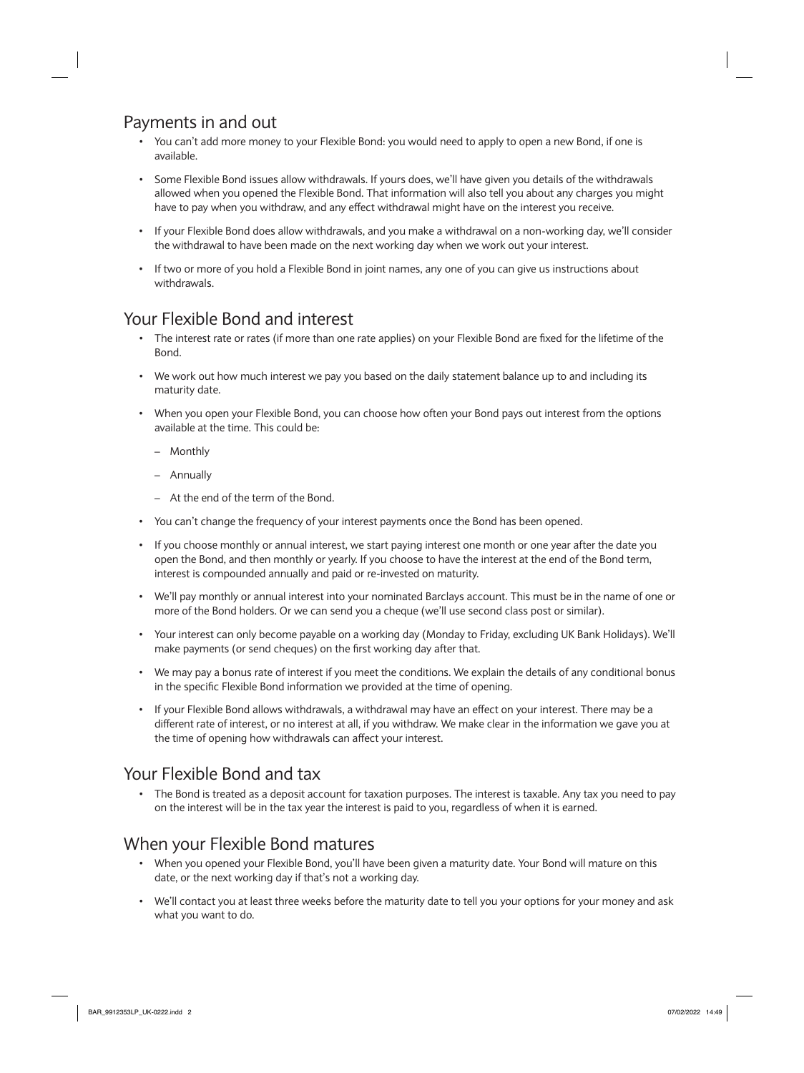# Payments in and out

- You can't add more money to your Flexible Bond: you would need to apply to open a new Bond, if one is available.
- Some Flexible Bond issues allow withdrawals. If yours does, we'll have given you details of the withdrawals allowed when you opened the Flexible Bond. That information will also tell you about any charges you might have to pay when you withdraw, and any effect withdrawal might have on the interest you receive.
- If your Flexible Bond does allow withdrawals, and you make a withdrawal on a non-working day, we'll consider the withdrawal to have been made on the next working day when we work out your interest.
- If two or more of you hold a Flexible Bond in joint names, any one of you can give us instructions about withdrawals.

# Your Flexible Bond and interest

- The interest rate or rates (if more than one rate applies) on your Flexible Bond are fixed for the lifetime of the Bond.
- We work out how much interest we pay you based on the daily statement balance up to and including its maturity date.
- When you open your Flexible Bond, you can choose how often your Bond pays out interest from the options available at the time. This could be:
	- Monthly
	- Annually
	- At the end of the term of the Bond.
- You can't change the frequency of your interest payments once the Bond has been opened.
- If you choose monthly or annual interest, we start paying interest one month or one year after the date you open the Bond, and then monthly or yearly. If you choose to have the interest at the end of the Bond term, interest is compounded annually and paid or re-invested on maturity.
- We'll pay monthly or annual interest into your nominated Barclays account. This must be in the name of one or more of the Bond holders. Or we can send you a cheque (we'll use second class post or similar).
- Your interest can only become payable on a working day (Monday to Friday, excluding UK Bank Holidays). We'll make payments (or send cheques) on the first working day after that.
- We may pay a bonus rate of interest if you meet the conditions. We explain the details of any conditional bonus in the specific Flexible Bond information we provided at the time of opening.
- If your Flexible Bond allows withdrawals, a withdrawal may have an effect on your interest. There may be a different rate of interest, or no interest at all, if you withdraw. We make clear in the information we gave you at the time of opening how withdrawals can affect your interest.

# Your Flexible Bond and tax

• The Bond is treated as a deposit account for taxation purposes. The interest is taxable. Any tax you need to pay on the interest will be in the tax year the interest is paid to you, regardless of when it is earned.

# When your Flexible Bond matures

- When you opened your Flexible Bond, you'll have been given a maturity date. Your Bond will mature on this date, or the next working day if that's not a working day.
- We'll contact you at least three weeks before the maturity date to tell you your options for your money and ask what you want to do.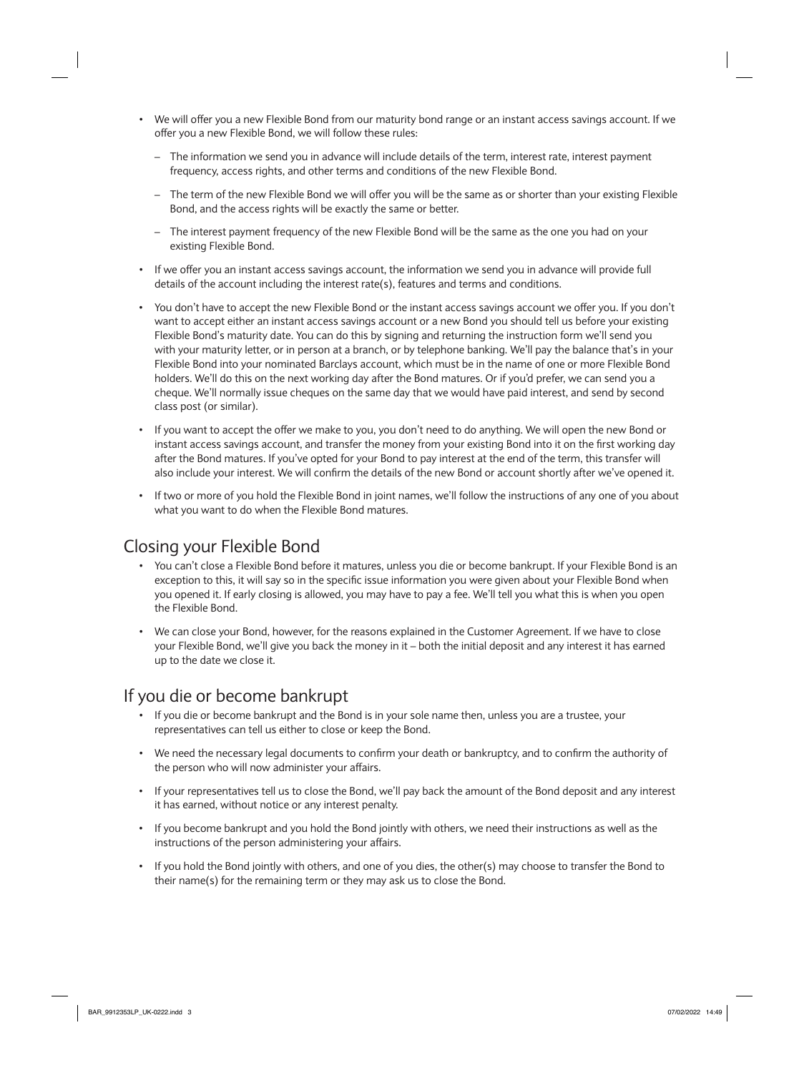- We will offer you a new Flexible Bond from our maturity bond range or an instant access savings account. If we offer you a new Flexible Bond, we will follow these rules:
	- The information we send you in advance will include details of the term, interest rate, interest payment frequency, access rights, and other terms and conditions of the new Flexible Bond.
	- The term of the new Flexible Bond we will offer you will be the same as or shorter than your existing Flexible Bond, and the access rights will be exactly the same or better.
	- The interest payment frequency of the new Flexible Bond will be the same as the one you had on your existing Flexible Bond.
- If we offer you an instant access savings account, the information we send you in advance will provide full details of the account including the interest rate(s), features and terms and conditions.
- You don't have to accept the new Flexible Bond or the instant access savings account we offer you. If you don't want to accept either an instant access savings account or a new Bond you should tell us before your existing Flexible Bond's maturity date. You can do this by signing and returning the instruction form we'll send you with your maturity letter, or in person at a branch, or by telephone banking. We'll pay the balance that's in your Flexible Bond into your nominated Barclays account, which must be in the name of one or more Flexible Bond holders. We'll do this on the next working day after the Bond matures. Or if you'd prefer, we can send you a cheque. We'll normally issue cheques on the same day that we would have paid interest, and send by second class post (or similar).
- If you want to accept the offer we make to you, you don't need to do anything. We will open the new Bond or instant access savings account, and transfer the money from your existing Bond into it on the first working day after the Bond matures. If you've opted for your Bond to pay interest at the end of the term, this transfer will also include your interest. We will confirm the details of the new Bond or account shortly after we've opened it.
- If two or more of you hold the Flexible Bond in joint names, we'll follow the instructions of any one of you about what you want to do when the Flexible Bond matures.

## Closing your Flexible Bond

- You can't close a Flexible Bond before it matures, unless you die or become bankrupt. If your Flexible Bond is an exception to this, it will say so in the specific issue information you were given about your Flexible Bond when you opened it. If early closing is allowed, you may have to pay a fee. We'll tell you what this is when you open the Flexible Bond.
- We can close your Bond, however, for the reasons explained in the Customer Agreement. If we have to close your Flexible Bond, we'll give you back the money in it – both the initial deposit and any interest it has earned up to the date we close it.

# If you die or become bankrupt

- If you die or become bankrupt and the Bond is in your sole name then, unless you are a trustee, your representatives can tell us either to close or keep the Bond.
- We need the necessary legal documents to confirm your death or bankruptcy, and to confirm the authority of the person who will now administer your affairs.
- If your representatives tell us to close the Bond, we'll pay back the amount of the Bond deposit and any interest it has earned, without notice or any interest penalty.
- If you become bankrupt and you hold the Bond jointly with others, we need their instructions as well as the instructions of the person administering your affairs.
- If you hold the Bond jointly with others, and one of you dies, the other(s) may choose to transfer the Bond to their name(s) for the remaining term or they may ask us to close the Bond.